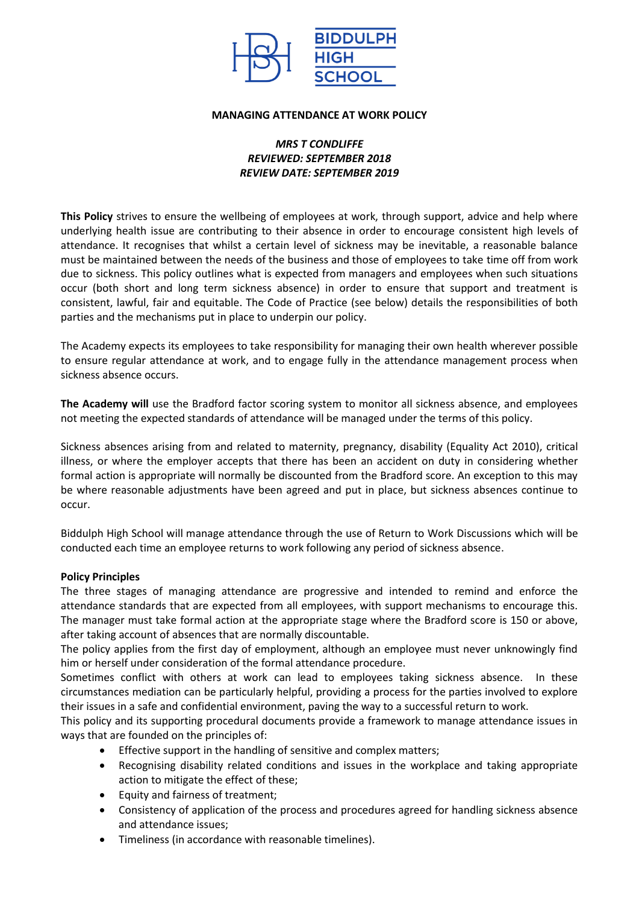

#### **MANAGING ATTENDANCE AT WORK POLICY**

## *MRS T CONDLIFFE REVIEWED: SEPTEMBER 2018 REVIEW DATE: SEPTEMBER 2019*

**This Policy** strives to ensure the wellbeing of employees at work, through support, advice and help where underlying health issue are contributing to their absence in order to encourage consistent high levels of attendance. It recognises that whilst a certain level of sickness may be inevitable, a reasonable balance must be maintained between the needs of the business and those of employees to take time off from work due to sickness. This policy outlines what is expected from managers and employees when such situations occur (both short and long term sickness absence) in order to ensure that support and treatment is consistent, lawful, fair and equitable. The Code of Practice (see below) details the responsibilities of both parties and the mechanisms put in place to underpin our policy.

The Academy expects its employees to take responsibility for managing their own health wherever possible to ensure regular attendance at work, and to engage fully in the attendance management process when sickness absence occurs.

**The Academy will** use the Bradford factor scoring system to monitor all sickness absence, and employees not meeting the expected standards of attendance will be managed under the terms of this policy.

Sickness absences arising from and related to maternity, pregnancy, disability (Equality Act 2010), critical illness, or where the employer accepts that there has been an accident on duty in considering whether formal action is appropriate will normally be discounted from the Bradford score. An exception to this may be where reasonable adjustments have been agreed and put in place, but sickness absences continue to occur.

Biddulph High School will manage attendance through the use of Return to Work Discussions which will be conducted each time an employee returns to work following any period of sickness absence.

#### **Policy Principles**

The three stages of managing attendance are progressive and intended to remind and enforce the attendance standards that are expected from all employees, with support mechanisms to encourage this. The manager must take formal action at the appropriate stage where the Bradford score is 150 or above, after taking account of absences that are normally discountable.

The policy applies from the first day of employment, although an employee must never unknowingly find him or herself under consideration of the formal attendance procedure.

Sometimes conflict with others at work can lead to employees taking sickness absence. In these circumstances mediation can be particularly helpful, providing a process for the parties involved to explore their issues in a safe and confidential environment, paving the way to a successful return to work.

This policy and its supporting procedural documents provide a framework to manage attendance issues in ways that are founded on the principles of:

- **Effective support in the handling of sensitive and complex matters;**
- Recognising disability related conditions and issues in the workplace and taking appropriate action to mitigate the effect of these;
- Equity and fairness of treatment;
- Consistency of application of the process and procedures agreed for handling sickness absence and attendance issues;
- Timeliness (in accordance with reasonable timelines).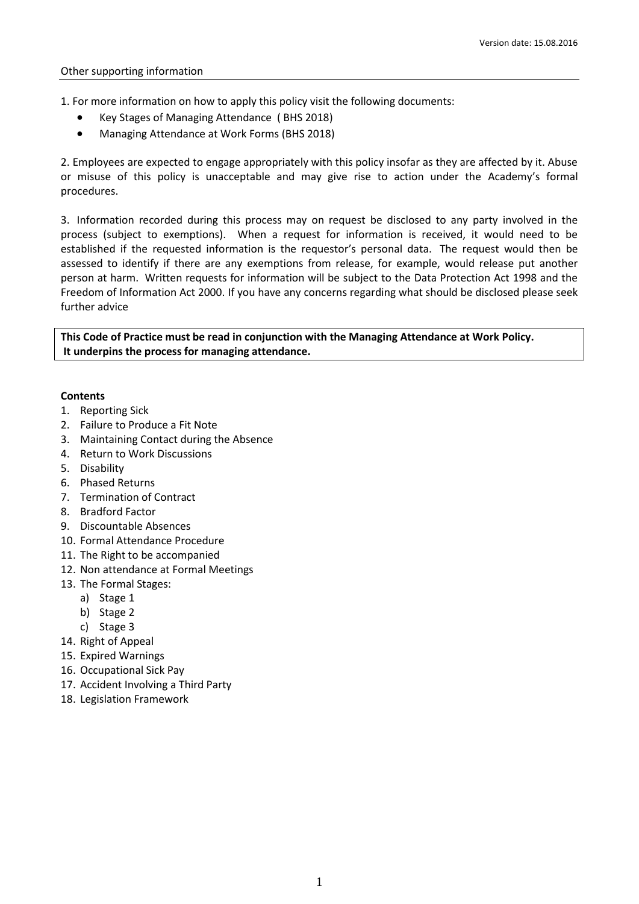1. For more information on how to apply this policy visit the following documents:

- Key Stages of Managing Attendance ( BHS 2018)
- Managing Attendance at Work Forms (BHS 2018)

2. Employees are expected to engage appropriately with this policy insofar as they are affected by it. Abuse or misuse of this policy is unacceptable and may give rise to action under the Academy's formal procedures.

3. Information recorded during this process may on request be disclosed to any party involved in the process (subject to exemptions). When a request for information is received, it would need to be established if the requested information is the requestor's personal data. The request would then be assessed to identify if there are any exemptions from release, for example, would release put another person at harm. Written requests for information will be subject to the Data Protection Act 1998 and the Freedom of Information Act 2000. If you have any concerns regarding what should be disclosed please seek further advice

**This Code of Practice must be read in conjunction with the Managing Attendance at Work Policy. It underpins the process for managing attendance.** 

#### **Contents**

- 1. [Reporting Sick](#page-2-0)
- 2. [Failure to Produce a Fit Note](#page-2-1)
- 3. [Maintaining Contact during the Absence](#page-2-2)
- 4. [Return to Work Discussions](#page-2-3)
- 5. [Disability](#page-2-4)
- 6. [Phased Returns](#page-2-5)
- 7. [Termination of Contract](#page-2-6)
- 8. [Bradford Factor](#page-2-7)
- 9. [Discountable Absences](#page-3-0)
- 10. [Formal Attendance Procedure](#page-3-1)
- 11. [The Right to be accompanied](#page-3-2)
- 12. [Non attendance at Formal Meetings](#page-3-3)
- 13. [The Formal Stages:](#page-3-4)
	- a) [Stage 1](#page-3-5)
	- b) [Stage 2](#page-3-6)
	- c) [Stage 3](#page-3-7)
- 14. [Right of Appeal](#page-4-0)
- 15. [Expired Warnings](#page-4-1)
- 16. Occupational Sick Pay
- 17. Accident Involving a Third Party
- 18. Legislation Framework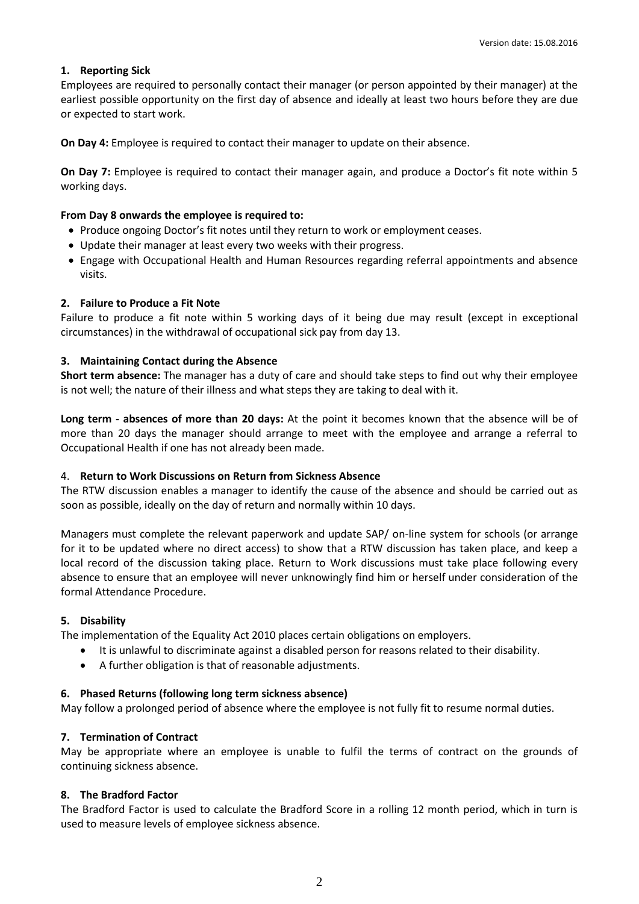## <span id="page-2-0"></span>**1. Reporting Sick**

Employees are required to personally contact their manager (or person appointed by their manager) at the earliest possible opportunity on the first day of absence and ideally at least two hours before they are due or expected to start work.

**On Day 4:** Employee is required to contact their manager to update on their absence.

**On Day 7:** Employee is required to contact their manager again, and produce a Doctor's fit note within 5 working days.

### **From Day 8 onwards the employee is required to:**

- Produce ongoing Doctor's fit notes until they return to work or employment ceases.
- Update their manager at least every two weeks with their progress.
- Engage with Occupational Health and Human Resources regarding referral appointments and absence visits.

### <span id="page-2-1"></span>**2. Failure to Produce a Fit Note**

Failure to produce a fit note within 5 working days of it being due may result (except in exceptional circumstances) in the withdrawal of occupational sick pay from day 13.

### <span id="page-2-2"></span>**3. Maintaining Contact during the Absence**

**Short term absence:** The manager has a duty of care and should take steps to find out why their employee is not well; the nature of their illness and what steps they are taking to deal with it.

**Long term - absences of more than 20 days:** At the point it becomes known that the absence will be of more than 20 days the manager should arrange to meet with the employee and arrange a referral to Occupational Health if one has not already been made.

#### <span id="page-2-3"></span>4. **Return to Work Discussions on Return from Sickness Absence**

The [RTW discussion](http://education.staffordshire.gov.uk/ProceduresAndGuidance/Procedures/HR/absencemanagement/backtowork/return/) enables a manager to identify the cause of the absence and should be carried out as soon as possible, ideally on the day of return and normally within 10 days.

Managers must complete the relevant paperwork and update SAP/ on-line system for schools (or arrange for it to be updated where no direct access) to show that a RTW discussion has taken place, and keep a local record of the discussion taking place. Return to Work discussions must take place following every absence to ensure that an employee will never unknowingly find him or herself under consideration of the formal Attendance Procedure.

#### <span id="page-2-4"></span>**5. Disability**

The implementation of the Equality Act 2010 places certain obligations on employers.

- It is unlawful to discriminate against a disabled person for reasons related to their disability.
- A further obligation is that of reasonable adjustments.

#### <span id="page-2-5"></span>**6. [Phased Returns](http://education.staffordshire.gov.uk/ProceduresAndGuidance/Procedures/HR/absencemanagement/longterm/comingback/) (following long term sickness absence)**

May follow a prolonged period of absence where the employee is not fully fit to resume normal duties.

#### <span id="page-2-6"></span>**7. [Termination of Contract](http://education.staffordshire.gov.uk/ProceduresAndGuidance/Procedures/HR/absencemanagement/longterm/managing/)**

May be appropriate where an employee is unable to fulfil the terms of contract on the grounds of continuing sickness absence.

#### <span id="page-2-7"></span>**8. [The Bradford Factor](http://education.staffordshire.gov.uk/ProceduresAndGuidance/Procedures/HR/absencemanagement/bradford/)**

The Bradford Factor is used to calculate the Bradford Score in a rolling 12 month period, which in turn is used to measure levels of employee sickness absence.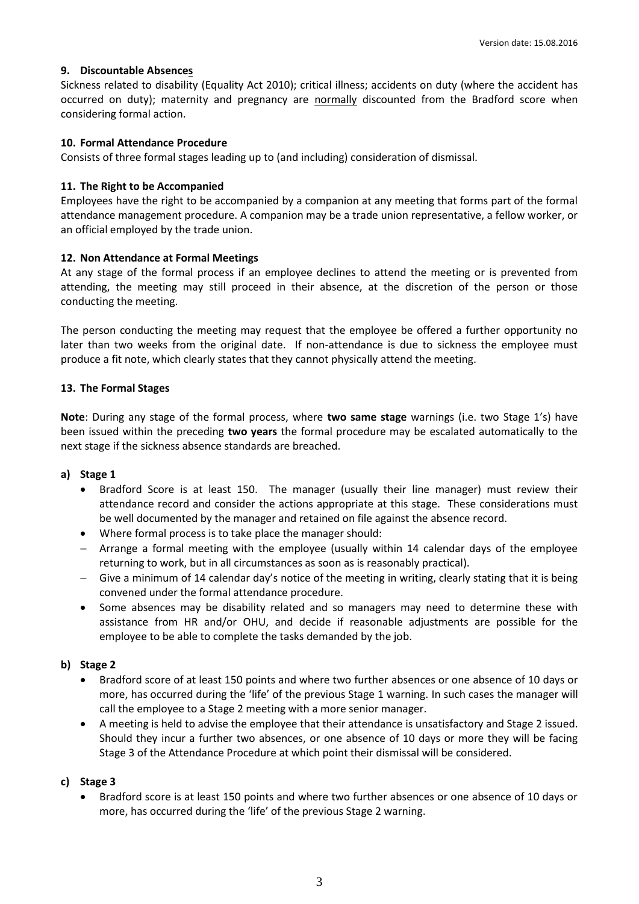### <span id="page-3-0"></span>**9. [Discountable Absences](http://education.staffordshire.gov.uk/ProceduresAndGuidance/Procedures/HR/absencemanagement/bradford/discountable/)**

Sickness related to disability (Equality Act 2010); critical illness; accidents on duty (where the accident has occurred on duty); maternity and pregnancy are normally discounted from the Bradford score when considering formal action.

#### <span id="page-3-1"></span>**10. [Formal Attendance Procedure](http://education.staffordshire.gov.uk/ProceduresAndGuidance/Procedures/HR/absencemanagement/formal/)**

Consists of three formal stages leading up to (and including) consideration of dismissal.

### <span id="page-3-2"></span>**11. The Right to be Accompanied**

Employees have the right to be accompanied by a companion at any meeting that forms part of the formal attendance management procedure. A companion may be a trade union representative, a fellow worker, or an official employed by the trade union.

### <span id="page-3-3"></span>**12. Non Attendance at Formal Meetings**

At any stage of the formal process if an employee declines to attend the meeting or is prevented from attending, the meeting may still proceed in their absence, at the discretion of the person or those conducting the meeting.

The person conducting the meeting may request that the employee be offered a further opportunity no later than two weeks from the original date. If non-attendance is due to sickness the employee must produce a fit note, which clearly states that they cannot physically attend the meeting.

### <span id="page-3-4"></span>**13. The Formal Stages**

**Note**: During any stage of the formal process, where **two same stage** warnings (i.e. two Stage 1's) have been issued within the preceding **two years** the formal procedure may be escalated automatically to the next stage if the sickness absence standards are breached.

#### <span id="page-3-5"></span>**a) Stage 1**

- Bradford Score is at least 150. The manager (usually their line manager) must review their attendance record and consider the actions appropriate at this stage. These considerations must be well documented by the manager and retained on file against the absence record.
- Where formal process is to take place the manager should:
- Arrange a formal meeting with the employee (usually within 14 calendar days of the employee returning to work, but in all circumstances as soon as is reasonably practical).
- Give a minimum of 14 calendar day's notice of the meeting in writing, clearly stating that it is being convened under the formal attendance procedure.
- <span id="page-3-6"></span> Some absences may be disability related and so managers may need to determine these with assistance from HR and/or OHU, and decide if reasonable adjustments are possible for the employee to be able to complete the tasks demanded by the job.

# **b) Stage 2**

- Bradford score of at least 150 points and where two further absences or one absence of 10 days or more, has occurred during the 'life' of the previous Stage 1 warning. In such cases the manager will call the employee to a Stage 2 meeting with a more senior manager.
- A meeting is held to advise the employee that their attendance is unsatisfactory and Stage 2 issued. Should they incur a further two absences, or one absence of 10 days or more they will be facing Stage 3 of the Attendance Procedure at which point their dismissal will be considered.

#### <span id="page-3-7"></span>**c) Stage 3**

• Bradford score is at least 150 points and where two further absences or one absence of 10 days or more, has occurred during the 'life' of the previous Stage 2 warning.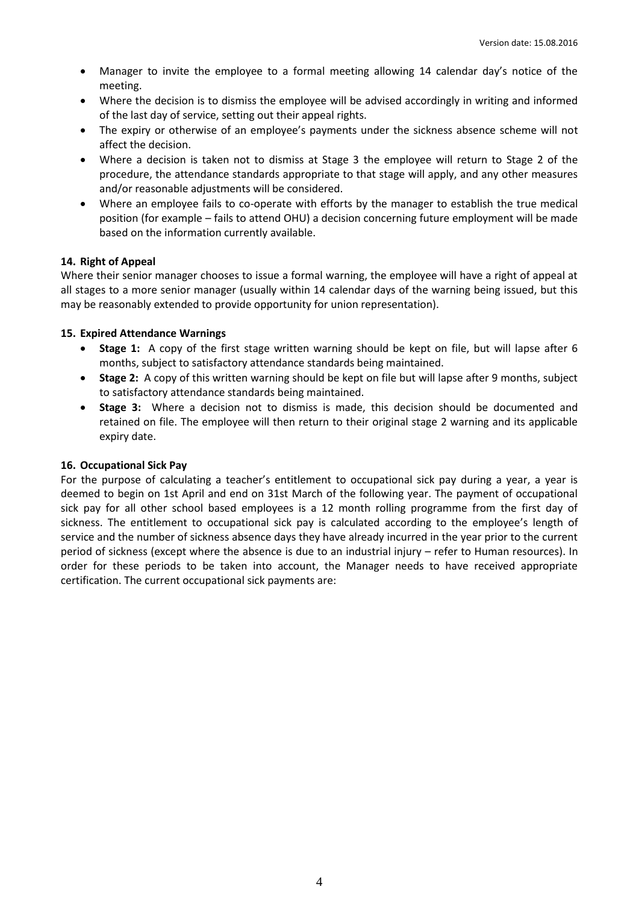- Manager to invite the employee to a formal meeting allowing 14 calendar day's notice of the meeting.
- Where the decision is to dismiss the employee will be advised accordingly in writing and informed of the last day of service, setting out their appeal rights.
- The expiry or otherwise of an employee's payments under the sickness absence scheme will not affect the decision.
- Where a decision is taken not to dismiss at Stage 3 the employee will return to Stage 2 of the procedure, the attendance standards appropriate to that stage will apply, and any other measures and/or reasonable adjustments will be considered.
- Where an employee fails to co-operate with efforts by the manager to establish the true medical position (for example – fails to attend OHU) a decision concerning future employment will be made based on the information currently available.

# <span id="page-4-0"></span>**14. Right of Appeal**

Where their senior manager chooses to issue a formal warning, the employee will have a right of appeal at all stages to a more senior manager (usually within 14 calendar days of the warning being issued, but this may be reasonably extended to provide opportunity for union representation).

### <span id="page-4-1"></span>**15. Expired Attendance Warnings**

- **Stage 1:** A copy of the first stage written warning should be kept on file, but will lapse after 6 months, subject to satisfactory attendance standards being maintained.
- **Stage 2:** A copy of this written warning should be kept on file but will lapse after 9 months, subject to satisfactory attendance standards being maintained.
- **Stage 3:** Where a decision not to dismiss is made, this decision should be documented and retained on file. The employee will then return to their original stage 2 warning and its applicable expiry date.

#### **16. Occupational Sick Pay**

For the purpose of calculating a teacher's entitlement to occupational sick pay during a year, a year is deemed to begin on 1st April and end on 31st March of the following year. The payment of occupational sick pay for all other school based employees is a 12 month rolling programme from the first day of sickness. The entitlement to occupational sick pay is calculated according to the employee's length of service and the number of sickness absence days they have already incurred in the year prior to the current period of sickness (except where the absence is due to an industrial injury – refer to Human resources). In order for these periods to be taken into account, the Manager needs to have received appropriate certification. The current occupational sick payments are: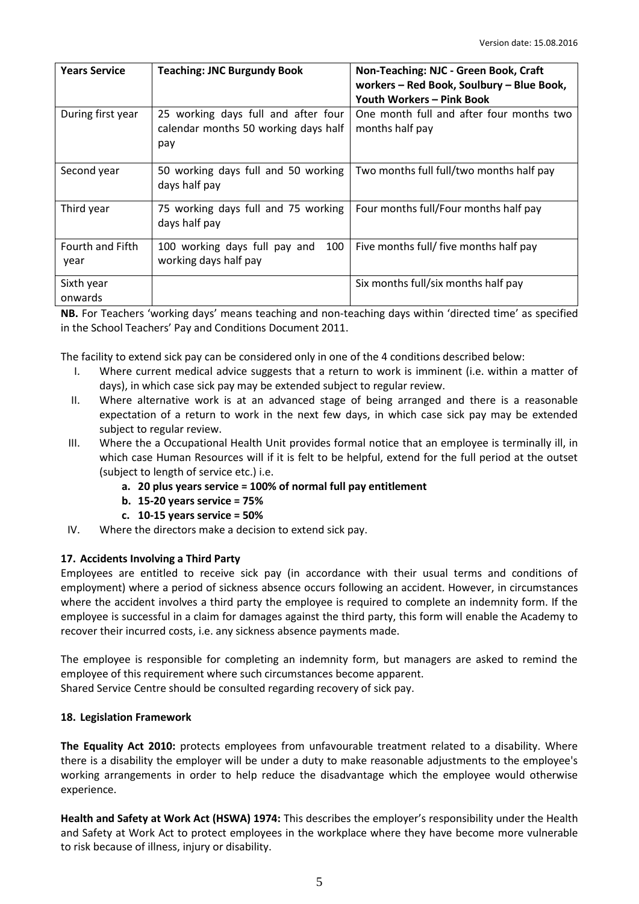| <b>Years Service</b>     | <b>Teaching: JNC Burgundy Book</b>                                                 | Non-Teaching: NJC - Green Book, Craft<br>workers - Red Book, Soulbury - Blue Book,<br>Youth Workers - Pink Book |
|--------------------------|------------------------------------------------------------------------------------|-----------------------------------------------------------------------------------------------------------------|
| During first year        | 25 working days full and after four<br>calendar months 50 working days half<br>pay | One month full and after four months two<br>months half pay                                                     |
| Second year              | 50 working days full and 50 working<br>days half pay                               | Two months full full/two months half pay                                                                        |
| Third year               | 75 working days full and 75 working<br>days half pay                               | Four months full/Four months half pay                                                                           |
| Fourth and Fifth<br>year | 100<br>100 working days full pay and<br>working days half pay                      | Five months full/ five months half pay                                                                          |
| Sixth year<br>onwards    |                                                                                    | Six months full/six months half pay                                                                             |

**NB.** For Teachers 'working days' means teaching and non-teaching days within 'directed time' as specified in the School Teachers' Pay and Conditions Document 2011.

The facility to extend sick pay can be considered only in one of the 4 conditions described below:

- I. Where current medical advice suggests that a return to work is imminent (i.e. within a matter of days), in which case sick pay may be extended subject to regular review.
- II. Where alternative work is at an advanced stage of being arranged and there is a reasonable expectation of a return to work in the next few days, in which case sick pay may be extended subject to regular review.
- III. Where the a Occupational Health Unit provides formal notice that an employee is terminally ill, in which case Human Resources will if it is felt to be helpful, extend for the full period at the outset (subject to length of service etc.) i.e.
	- **a. 20 plus years service = 100% of normal full pay entitlement**
	- **b. 15-20 years service = 75%**
	- **c. 10-15 years service = 50%**
- IV. Where the directors make a decision to extend sick pay.

# **17. Accidents Involving a Third Party**

Employees are entitled to receive sick pay (in accordance with their usual terms and conditions of employment) where a period of sickness absence occurs following an accident. However, in circumstances where the accident involves a third party the employee is required to complete an indemnity form. If the employee is successful in a claim for damages against the third party, this form will enable the Academy to recover their incurred costs, i.e. any sickness absence payments made.

The employee is responsible for completing an indemnity form, but managers are asked to remind the employee of this requirement where such circumstances become apparent. Shared Service Centre should be consulted regarding recovery of sick pay.

#### **18. Legislation Framework**

**The Equality Act 2010:** protects employees from unfavourable treatment related to a disability. Where there is a disability the employer will be under a duty to make reasonable adjustments to the employee's working arrangements in order to help reduce the disadvantage which the employee would otherwise experience.

**Health and Safety at Work Act (HSWA) 1974:** This describes the employer's responsibility under the Health and Safety at Work Act to protect employees in the workplace where they have become more vulnerable to risk because of illness, injury or disability.